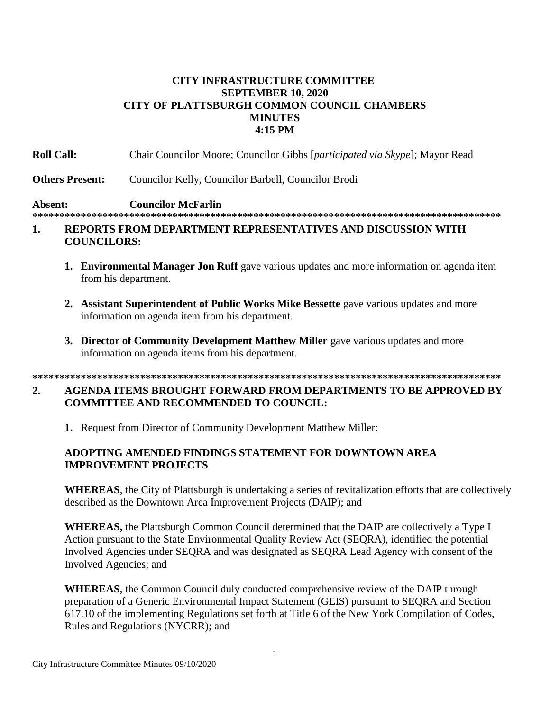# **CITY INFRASTRUCTURE COMMITTEE SEPTEMBER 10, 2020 CITY OF PLATTSBURGH COMMON COUNCIL CHAMBERS MINUTES 4:15 PM**

**Roll Call:** Chair Councilor Moore; Councilor Gibbs [*participated via Skype*]; Mayor Read

**Others Present:** Councilor Kelly, Councilor Barbell, Councilor Brodi

#### **Absent: Councilor McFarlin**

**\*\*\*\*\*\*\*\*\*\*\*\*\*\*\*\*\*\*\*\*\*\*\*\*\*\*\*\*\*\*\*\*\*\*\*\*\*\*\*\*\*\*\*\*\*\*\*\*\*\*\*\*\*\*\*\*\*\*\*\*\*\*\*\*\*\*\*\*\*\*\*\*\*\*\*\*\*\*\*\*\*\*\*\*\*\*\***

# **1. REPORTS FROM DEPARTMENT REPRESENTATIVES AND DISCUSSION WITH COUNCILORS:**

- **1. Environmental Manager Jon Ruff** gave various updates and more information on agenda item from his department.
- **2.** Assistant Superintendent of Public Works Mike Bessette gave various updates and more information on agenda item from his department.
- **3. Director of Community Development Matthew Miller** gave various updates and more information on agenda items from his department.

**\*\*\*\*\*\*\*\*\*\*\*\*\*\*\*\*\*\*\*\*\*\*\*\*\*\*\*\*\*\*\*\*\*\*\*\*\*\*\*\*\*\*\*\*\*\*\*\*\*\*\*\*\*\*\*\*\*\*\*\*\*\*\*\*\*\*\*\*\*\*\*\*\*\*\*\*\*\*\*\*\*\*\*\*\*\*\***

# **2. AGENDA ITEMS BROUGHT FORWARD FROM DEPARTMENTS TO BE APPROVED BY COMMITTEE AND RECOMMENDED TO COUNCIL:**

**1.** Request from Director of Community Development Matthew Miller:

# **ADOPTING AMENDED FINDINGS STATEMENT FOR DOWNTOWN AREA IMPROVEMENT PROJECTS**

**WHEREAS**, the City of Plattsburgh is undertaking a series of revitalization efforts that are collectively described as the Downtown Area Improvement Projects (DAIP); and

**WHEREAS,** the Plattsburgh Common Council determined that the DAIP are collectively a Type I Action pursuant to the State Environmental Quality Review Act (SEQRA), identified the potential Involved Agencies under SEQRA and was designated as SEQRA Lead Agency with consent of the Involved Agencies; and

**WHEREAS**, the Common Council duly conducted comprehensive review of the DAIP through preparation of a Generic Environmental Impact Statement (GEIS) pursuant to SEQRA and Section 617.10 of the implementing Regulations set forth at Title 6 of the New York Compilation of Codes, Rules and Regulations (NYCRR); and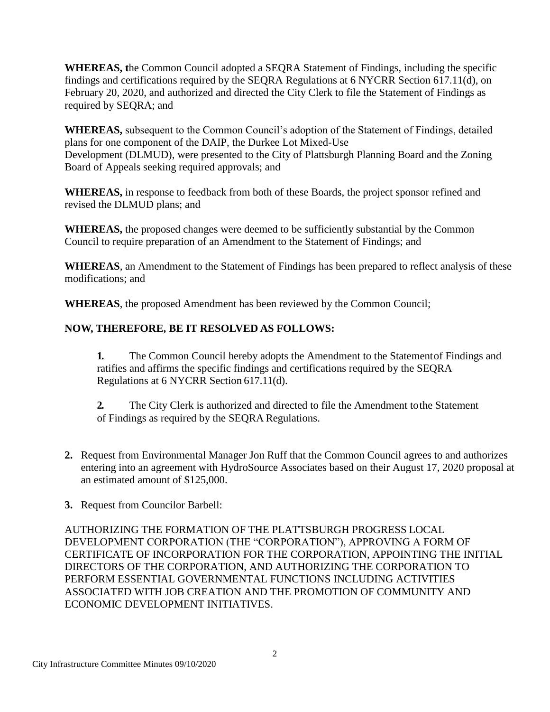**WHEREAS, t**he Common Council adopted a SEQRA Statement of Findings, including the specific findings and certifications required by the SEQRA Regulations at 6 NYCRR Section 617.11(d), on February 20, 2020, and authorized and directed the City Clerk to file the Statement of Findings as required by SEQRA; and

**WHEREAS,** subsequent to the Common Council's adoption of the Statement of Findings, detailed plans for one component of the DAIP, the Durkee Lot Mixed-Use Development (DLMUD), were presented to the City of Plattsburgh Planning Board and the Zoning Board of Appeals seeking required approvals; and

**WHEREAS,** in response to feedback from both of these Boards, the project sponsor refined and revised the DLMUD plans; and

**WHEREAS,** the proposed changes were deemed to be sufficiently substantial by the Common Council to require preparation of an Amendment to the Statement of Findings; and

**WHEREAS**, an Amendment to the Statement of Findings has been prepared to reflect analysis of these modifications; and

**WHEREAS**, the proposed Amendment has been reviewed by the Common Council;

# **NOW, THEREFORE, BE IT RESOLVED AS FOLLOWS:**

**1.** The Common Council hereby adopts the Amendment to the Statementof Findings and ratifies and affirms the specific findings and certifications required by the SEQRA Regulations at 6 NYCRR Section 617.11(d).

**2.** The City Clerk is authorized and directed to file the Amendment tothe Statement of Findings as required by the SEQRA Regulations.

- **2.** Request from Environmental Manager Jon Ruff that the Common Council agrees to and authorizes entering into an agreement with HydroSource Associates based on their August 17, 2020 proposal at an estimated amount of \$125,000.
- **3.** Request from Councilor Barbell:

AUTHORIZING THE FORMATION OF THE PLATTSBURGH PROGRESS LOCAL DEVELOPMENT CORPORATION (THE "CORPORATION"), APPROVING A FORM OF CERTIFICATE OF INCORPORATION FOR THE CORPORATION, APPOINTING THE INITIAL DIRECTORS OF THE CORPORATION, AND AUTHORIZING THE CORPORATION TO PERFORM ESSENTIAL GOVERNMENTAL FUNCTIONS INCLUDING ACTIVITIES ASSOCIATED WITH JOB CREATION AND THE PROMOTION OF COMMUNITY AND ECONOMIC DEVELOPMENT INITIATIVES.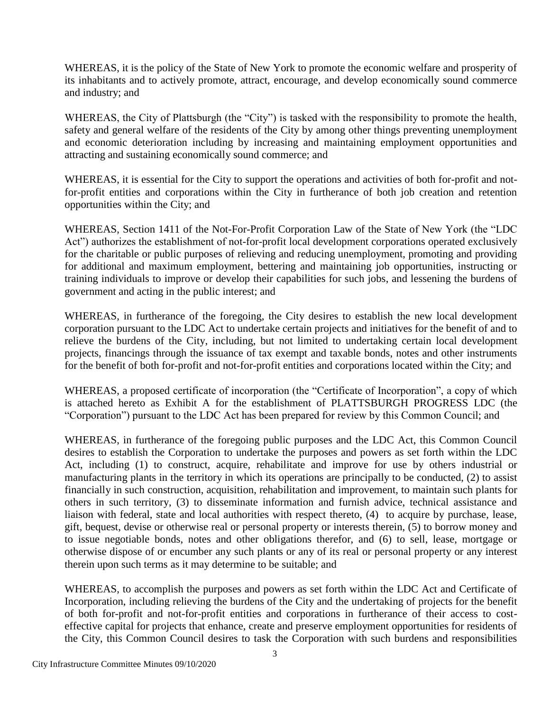WHEREAS, it is the policy of the State of New York to promote the economic welfare and prosperity of its inhabitants and to actively promote, attract, encourage, and develop economically sound commerce and industry; and

WHEREAS, the City of Plattsburgh (the "City") is tasked with the responsibility to promote the health, safety and general welfare of the residents of the City by among other things preventing unemployment and economic deterioration including by increasing and maintaining employment opportunities and attracting and sustaining economically sound commerce; and

WHEREAS, it is essential for the City to support the operations and activities of both for-profit and notfor-profit entities and corporations within the City in furtherance of both job creation and retention opportunities within the City; and

WHEREAS, Section 1411 of the Not-For-Profit Corporation Law of the State of New York (the "LDC Act") authorizes the establishment of not-for-profit local development corporations operated exclusively for the charitable or public purposes of relieving and reducing unemployment, promoting and providing for additional and maximum employment, bettering and maintaining job opportunities, instructing or training individuals to improve or develop their capabilities for such jobs, and lessening the burdens of government and acting in the public interest; and

WHEREAS, in furtherance of the foregoing, the City desires to establish the new local development corporation pursuant to the LDC Act to undertake certain projects and initiatives for the benefit of and to relieve the burdens of the City, including, but not limited to undertaking certain local development projects, financings through the issuance of tax exempt and taxable bonds, notes and other instruments for the benefit of both for-profit and not-for-profit entities and corporations located within the City; and

WHEREAS, a proposed certificate of incorporation (the "Certificate of Incorporation", a copy of which is attached hereto as Exhibit A for the establishment of PLATTSBURGH PROGRESS LDC (the "Corporation") pursuant to the LDC Act has been prepared for review by this Common Council; and

WHEREAS, in furtherance of the foregoing public purposes and the LDC Act, this Common Council desires to establish the Corporation to undertake the purposes and powers as set forth within the LDC Act, including (1) to construct, acquire, rehabilitate and improve for use by others industrial or manufacturing plants in the territory in which its operations are principally to be conducted, (2) to assist financially in such construction, acquisition, rehabilitation and improvement, to maintain such plants for others in such territory, (3) to disseminate information and furnish advice, technical assistance and liaison with federal, state and local authorities with respect thereto, (4) to acquire by purchase, lease, gift, bequest, devise or otherwise real or personal property or interests therein, (5) to borrow money and to issue negotiable bonds, notes and other obligations therefor, and (6) to sell, lease, mortgage or otherwise dispose of or encumber any such plants or any of its real or personal property or any interest therein upon such terms as it may determine to be suitable; and

WHEREAS, to accomplish the purposes and powers as set forth within the LDC Act and Certificate of Incorporation, including relieving the burdens of the City and the undertaking of projects for the benefit of both for-profit and not-for-profit entities and corporations in furtherance of their access to costeffective capital for projects that enhance, create and preserve employment opportunities for residents of the City, this Common Council desires to task the Corporation with such burdens and responsibilities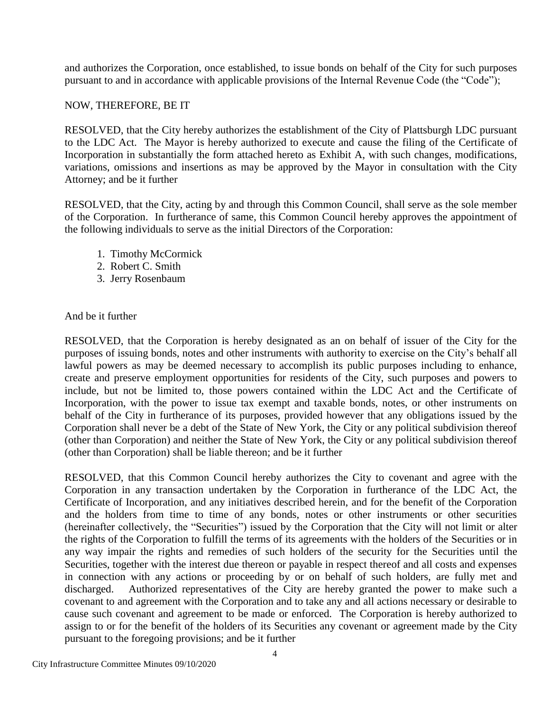and authorizes the Corporation, once established, to issue bonds on behalf of the City for such purposes pursuant to and in accordance with applicable provisions of the Internal Revenue Code (the "Code");

## NOW, THEREFORE, BE IT

RESOLVED, that the City hereby authorizes the establishment of the City of Plattsburgh LDC pursuant to the LDC Act. The Mayor is hereby authorized to execute and cause the filing of the Certificate of Incorporation in substantially the form attached hereto as Exhibit A, with such changes, modifications, variations, omissions and insertions as may be approved by the Mayor in consultation with the City Attorney; and be it further

RESOLVED, that the City, acting by and through this Common Council, shall serve as the sole member of the Corporation. In furtherance of same, this Common Council hereby approves the appointment of the following individuals to serve as the initial Directors of the Corporation:

- 1. Timothy McCormick
- 2. Robert C. Smith
- 3. Jerry Rosenbaum

### And be it further

RESOLVED, that the Corporation is hereby designated as an on behalf of issuer of the City for the purposes of issuing bonds, notes and other instruments with authority to exercise on the City's behalf all lawful powers as may be deemed necessary to accomplish its public purposes including to enhance, create and preserve employment opportunities for residents of the City, such purposes and powers to include, but not be limited to, those powers contained within the LDC Act and the Certificate of Incorporation, with the power to issue tax exempt and taxable bonds, notes, or other instruments on behalf of the City in furtherance of its purposes, provided however that any obligations issued by the Corporation shall never be a debt of the State of New York, the City or any political subdivision thereof (other than Corporation) and neither the State of New York, the City or any political subdivision thereof (other than Corporation) shall be liable thereon; and be it further

RESOLVED, that this Common Council hereby authorizes the City to covenant and agree with the Corporation in any transaction undertaken by the Corporation in furtherance of the LDC Act, the Certificate of Incorporation, and any initiatives described herein, and for the benefit of the Corporation and the holders from time to time of any bonds, notes or other instruments or other securities (hereinafter collectively, the "Securities") issued by the Corporation that the City will not limit or alter the rights of the Corporation to fulfill the terms of its agreements with the holders of the Securities or in any way impair the rights and remedies of such holders of the security for the Securities until the Securities, together with the interest due thereon or payable in respect thereof and all costs and expenses in connection with any actions or proceeding by or on behalf of such holders, are fully met and discharged. Authorized representatives of the City are hereby granted the power to make such a covenant to and agreement with the Corporation and to take any and all actions necessary or desirable to cause such covenant and agreement to be made or enforced. The Corporation is hereby authorized to assign to or for the benefit of the holders of its Securities any covenant or agreement made by the City pursuant to the foregoing provisions; and be it further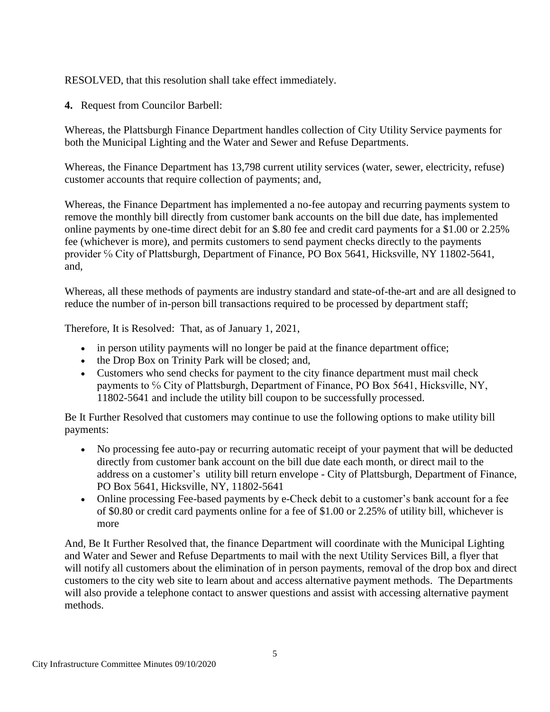RESOLVED, that this resolution shall take effect immediately.

**4.** Request from Councilor Barbell:

Whereas, the Plattsburgh Finance Department handles collection of City Utility Service payments for both the Municipal Lighting and the Water and Sewer and Refuse Departments.

Whereas, the Finance Department has 13,798 current utility services (water, sewer, electricity, refuse) customer accounts that require collection of payments; and,

Whereas, the Finance Department has implemented a no-fee autopay and recurring payments system to remove the monthly bill directly from customer bank accounts on the bill due date, has implemented online payments by one-time direct debit for an \$.80 fee and credit card payments for a \$1.00 or 2.25% fee (whichever is more), and permits customers to send payment checks directly to the payments provider % City of Plattsburgh, Department of Finance, PO Box 5641, Hicksville, NY 11802-5641, and,

Whereas, all these methods of payments are industry standard and state-of-the-art and are all designed to reduce the number of in-person bill transactions required to be processed by department staff;

Therefore, It is Resolved: That, as of January 1, 2021,

- in person utility payments will no longer be paid at the finance department office;
- the Drop Box on Trinity Park will be closed; and,
- Customers who send checks for payment to the city finance department must mail check payments to % City of Plattsburgh, Department of Finance, PO Box 5641, Hicksville, NY, 11802-5641 and include the utility bill coupon to be successfully processed.

Be It Further Resolved that customers may continue to use the following options to make utility bill payments:

- No processing fee auto-pay or recurring automatic receipt of your payment that will be deducted directly from customer bank account on the bill due date each month, or direct mail to the address on a customer's utility bill return envelope - City of Plattsburgh, Department of Finance, PO Box 5641, Hicksville, NY, 11802-5641
- Online processing Fee-based payments by e-Check debit to a customer's bank account for a fee of \$0.80 or credit card payments online for a fee of \$1.00 or 2.25% of utility bill, whichever is more

And, Be It Further Resolved that, the finance Department will coordinate with the Municipal Lighting and Water and Sewer and Refuse Departments to mail with the next Utility Services Bill, a flyer that will notify all customers about the elimination of in person payments, removal of the drop box and direct customers to the city web site to learn about and access alternative payment methods. The Departments will also provide a telephone contact to answer questions and assist with accessing alternative payment methods.